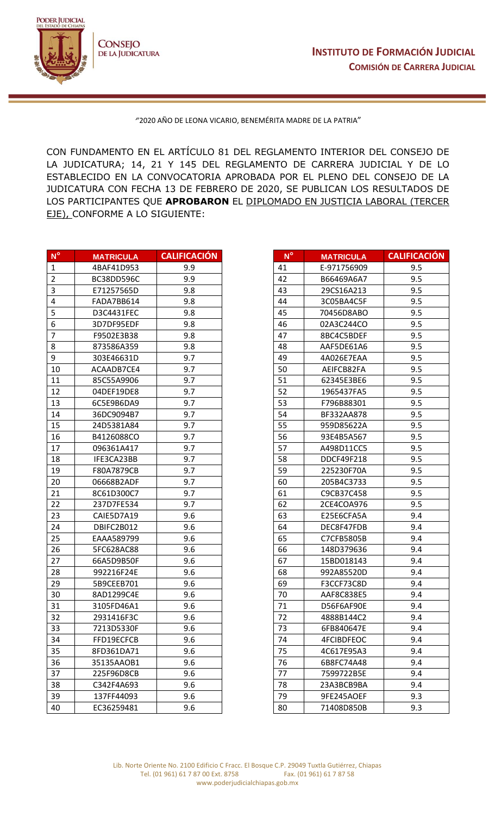

""2020 AÑO DE LEONA VICARIO, BENEMÉRITA MADRE DE LA PATRIA"

CON FUNDAMENTO EN EL ARTÍCULO 81 DEL REGLAMENTO INTERIOR DEL CONSEJO DE LA JUDICATURA; 14, 21 Y 145 DEL REGLAMENTO DE CARRERA JUDICIAL Y DE LO ESTABLECIDO EN LA CONVOCATORIA APROBADA POR EL PLENO DEL CONSEJO DE LA JUDICATURA CON FECHA 13 DE FEBRERO DE 2020, SE PUBLICAN LOS RESULTADOS DE LOS PARTICIPANTES QUE **APROBARON** EL DIPLOMADO EN JUSTICIA LABORAL (TERCER EJE), CONFORME A LO SIGUIENTE:

| $N^{\circ}$             | <b>MATRICULA</b> | <b>CALIFICACIÓN</b> | $N^{\circ}$ | <b>MATRICULA</b>  | <b>CALIFICA</b> |
|-------------------------|------------------|---------------------|-------------|-------------------|-----------------|
| $\mathbf{1}$            | 4BAF41D953       | 9.9                 | 41          | E-971756909       | 9.5             |
| $\overline{2}$          | BC38DD596C       | 9.9                 | 42          | B66469A6A7        | 9.5             |
| $\overline{\mathbf{3}}$ | E71257565D       | 9.8                 | 43          | 29CS16A213        | 9.5             |
| 4                       | FADA7BB614       | 9.8                 | 44          | 3C05BA4C5F        | 9.5             |
| 5                       | D3C4431FEC       | 9.8                 | 45          | 70456D8ABO        | 9.5             |
| 6                       | 3D7DF95EDF       | 9.8                 | 46          | 02A3C244CO        | 9.5             |
| $\overline{7}$          | F9502E3B38       | 9.8                 | 47          | 8BC4C5BDEF        | 9.5             |
| 8                       | 873586A359       | 9.8                 | 48          | AAF5DE61A6        | 9.5             |
| 9                       | 303E46631D       | 9.7                 | 49          | 4A026E7EAA        | 9.5             |
| 10                      | ACAADB7CE4       | 9.7                 | 50          | AEIFCB82FA        | 9.5             |
| 11                      | 85C55A9906       | 9.7                 | 51          | 62345E3BE6        | 9.5             |
| 12                      | 04DEF19DE8       | 9.7                 | 52          | 1965437FA5        | 9.5             |
| 13                      | 6C5E9B6DA9       | 9.7                 | 53          | F796B88301        | 9.5             |
| 14                      | 36DC9094B7       | 9.7                 | 54          | BF332AA878        | 9.5             |
| 15                      | 24D5381A84       | 9.7                 | 55          | 959D85622A        | 9.5             |
| 16                      | B4126088CO       | 9.7                 | 56          | 93E4B5A567        | 9.5             |
| 17                      | 096361A417       | 9.7                 | 57          | A498D11CC5        | 9.5             |
| 18                      | IFE3CA23BB       | 9.7                 | 58          | DDCF49F218        | 9.5             |
| 19                      | F80A7879CB       | 9.7                 | 59          | 225230F70A        | 9.5             |
| 20                      | 06668B2ADF       | 9.7                 | 60          | 205B4C3733        | 9.5             |
| 21                      | 8C61D300C7       | 9.7                 | 61          | C9CB37C458        | 9.5             |
| 22                      | 237D7FE534       | 9.7                 | 62          | 2CE4COA976        | 9.5             |
| 23                      | CAIE5D7A19       | 9.6                 | 63          | E25E6CFA5A        | 9.4             |
| 24                      | DBIFC2B012       | 9.6                 | 64          | DEC8F47FDB        | 9.4             |
| 25                      | EAAA589799       | 9.6                 | 65          | C7CFB5805B        | 9.4             |
| 26                      | 5FC628AC88       | 9.6                 | 66          | 148D379636        | 9.4             |
| 27                      | 66A5D9B50F       | 9.6                 | 67          | 15BD018143        | 9.4             |
| 28                      | 992216F24E       | 9.6                 | 68          | 992A85520D        | 9.4             |
| 29                      | 5B9CEEB701       | 9.6                 | 69          | F3CCF73C8D        | 9.4             |
| 30                      | 8AD1299C4E       | 9.6                 | 70          | AAF8C838E5        | 9.4             |
| 31                      | 3105FD46A1       | 9.6                 | 71          | D56F6AF90E        | 9.4             |
| 32                      | 2931416F3C       | 9.6                 | 72          | 4888B144C2        | 9.4             |
| 33                      | 7213D5330F       | 9.6                 | 73          | 6FB840647E        | 9.4             |
| 34                      | FFD19ECFCB       | 9.6                 | 74          | <b>4FCIBDFEOC</b> | 9.4             |
| 35                      | 8FD361DA71       | 9.6                 | 75          | 4C617E95A3        | 9.4             |
| 36                      | 35135AAOB1       | 9.6                 | 76          | 6B8FC74A48        | 9.4             |
| 37                      | 225F96D8CB       | 9.6                 | 77          | 7599722B5E        | 9.4             |
| 38                      | C342F4A693       | 9.6                 | 78          | 23A3BCB9BA        | 9.4             |
| 39                      | 137FF44093       | 9.6                 | 79          | 9FE245AOEF        | 9.3             |
| 40                      | EC36259481       | 9.6                 | 80          | 71408D850B        | 9.3             |

| $N^{\circ}$               | <b>MATRICULA</b> | <b>CALIFICACIÓN</b> |
|---------------------------|------------------|---------------------|
| 1                         | 4BAF41D953       | 9.9                 |
| $\overline{\mathbf{c}}$   | BC38DD596C       | 9.9                 |
| 3                         | E71257565D       | 9.8                 |
| 4                         | FADA7BB614       | 9.8                 |
| 5                         | D3C4431FEC       | 9.8                 |
| 6                         | 3D7DF95EDF       | 9.8                 |
| 7                         |                  | 9.8                 |
| $\overline{\overline{8}}$ | F9502E3B38       |                     |
| $\overline{9}$            | 873586A359       | 9.8                 |
|                           | 303E46631D       | 9.7                 |
| 10                        | ACAADB7CE4       | 9.7                 |
| 11                        | 85C55A9906       | 9.7                 |
| 12                        | 04DEF19DE8       | 9.7                 |
| 13                        | 6C5E9B6DA9       | 9.7                 |
| 14                        | 36DC9094B7       | 9.7                 |
| 15                        | 24D5381A84       | 9.7                 |
| 16                        | B4126088CO       | 9.7                 |
| 17                        | 096361A417       | 9.7                 |
| 18                        | IFE3CA23BB       | 9.7                 |
| 19                        | F80A7879CB       | 9.7                 |
| 20                        | 06668B2ADF       | 9.7                 |
| 21                        | 8C61D300C7       | 9.7                 |
| 22                        | 237D7FE534       | 9.7                 |
| $\overline{23}$           | CAIE5D7A19       | 9.6                 |
| 24                        | DBIFC2B012       | 9.6                 |
| 25                        | EAAA589799       | 9.6                 |
| 26                        | 5FC628AC88       | 9.6                 |
| 27                        | 66A5D9B50F       | 9.6                 |
| 28                        | 992216F24E       | 9.6                 |
| 29                        | 5B9CEEB701       | 9.6                 |
| 30                        | 8AD1299C4E       | 9.6                 |
| 31                        | 3105FD46A1       | 9.6                 |
| 32                        | 2931416F3C       | 9.6                 |
| 33                        | 7213D5330F       | 9.6                 |
| 34                        | FFD19ECFCB       | 9.6                 |
| 35                        | 8FD361DA71       | 9.6                 |
| 36                        | 35135AAOB1       | 9.6                 |
| 37                        | 225F96D8CB       | 9.6                 |
|                           |                  |                     |
| 38<br>39                  | C342F4A693       | 9.6                 |
|                           | 137FF44093       | 9.6                 |
| 40                        | EC36259481       | 9.6                 |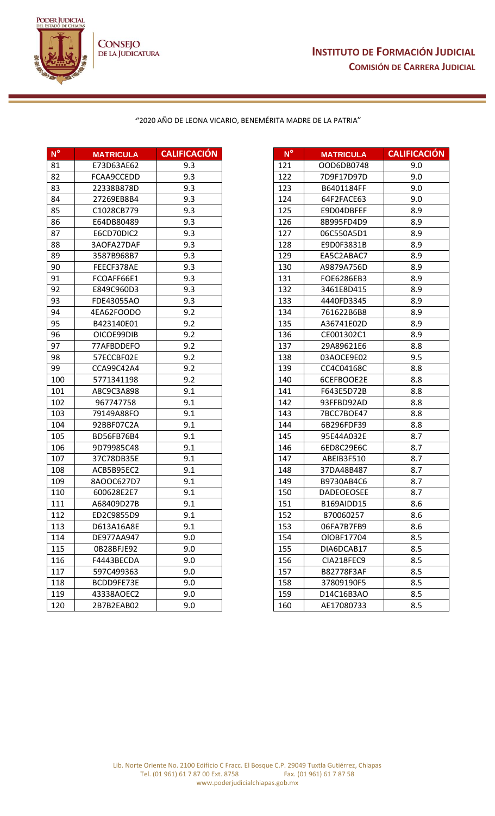J



## ""2020 AÑO DE LEONA VICARIO, BENEMÉRITA MADRE DE LA PATRIA"

| N°  | <b>MATRICULA</b> | <b>CALIFICACION</b> | N°  | <b>MATRICULA</b>  | <b>CALIFICA</b> |
|-----|------------------|---------------------|-----|-------------------|-----------------|
| 81  | E73D63AE62       | 9.3                 | 121 | OOD6DB0748        | 9.0             |
| 82  | FCAA9CCEDD       | 9.3                 | 122 | 7D9F17D97D        | 9.0             |
| 83  | 22338B878D       | 9.3                 | 123 | B6401184FF        | 9.0             |
| 84  | 27269EB8B4       | 9.3                 | 124 | 64F2FACE63        | 9.0             |
| 85  | C1028CB779       | 9.3                 | 125 | E9D04DBFEF        | 8.9             |
| 86  | E64DB80489       | 9.3                 | 126 | 8B995FD4D9        | 8.9             |
| 87  | E6CD70DIC2       | 9.3                 | 127 | 06C550A5D1        | 8.9             |
| 88  | 3AOFA27DAF       | 9.3                 | 128 | E9D0F3831B        | 8.9             |
| 89  | 3587B968B7       | 9.3                 | 129 | EA5C2ABAC7        | 8.9             |
| 90  | FEECF378AE       | 9.3                 | 130 | A9879A756D        | 8.9             |
| 91  | FCOAFF66E1       | 9.3                 | 131 | FOE6286EB3        | 8.9             |
| 92  | E849C960D3       | 9.3                 | 132 | 3461E8D415        | 8.9             |
| 93  | FDE43055AO       | 9.3                 | 133 | 4440FD3345        | 8.9             |
| 94  | 4EA62FOODO       | 9.2                 | 134 | 761622B6B8        | 8.9             |
| 95  | B423140E01       | 9.2                 | 135 | A36741E02D        | 8.9             |
| 96  | OICOE99DIB       | 9.2                 | 136 | CE001302C1        | 8.9             |
| 97  | 77AFBDDEFO       | 9.2                 | 137 | 29A89621E6        | 8.8             |
| 98  | 57ECCBF02E       | 9.2                 | 138 | 03AOCE9E02        | 9.5             |
| 99  | CCA99C42A4       | 9.2                 | 139 | CC4C04168C        | 8.8             |
| 100 | 5771341198       | 9.2                 | 140 | 6CEFBOOE2E        | 8.8             |
| 101 | A8C9C3A898       | 9.1                 | 141 | F643E5D72B        | 8.8             |
| 102 | 967747758        | 9.1                 | 142 | 93FFBD92AD        | 8.8             |
| 103 | 79149A88FO       | 9.1                 | 143 | 7BCC7BOE47        | 8.8             |
| 104 | 92BBF07C2A       | 9.1                 | 144 | 6B296FDF39        | 8.8             |
| 105 | BD56FB76B4       | 9.1                 | 145 | 95E44A032E        | 8.7             |
| 106 | 9D79985C48       | 9.1                 | 146 | 6ED8C29E6C        | 8.7             |
| 107 | 37C78DB35E       | 9.1                 | 147 | ABEIB3F510        | 8.7             |
| 108 | ACB5B95EC2       | 9.1                 | 148 | 37DA48B487        | 8.7             |
| 109 | 8AOOC627D7       | 9.1                 | 149 | B9730AB4C6        | 8.7             |
| 110 | 600628E2E7       | 9.1                 | 150 | <b>DADEOEOSEE</b> | 8.7             |
| 111 | A68409D27B       | 9.1                 | 151 | B169AIDD15        | 8.6             |
| 112 | ED2C9855D9       | 9.1                 | 152 | 870060257         | 8.6             |
| 113 | D613A16A8E       | 9.1                 | 153 | 06FA7B7FB9        | 8.6             |
| 114 | DE977AA947       | 9.0                 | 154 | OIOBF17704        | 8.5             |
| 115 | OB28BFJE92       | 9.0                 | 155 | DIA6DCAB17        | 8.5             |
| 116 | F4443BECDA       | 9.0                 | 156 | CIA218FEC9        | 8.5             |
| 117 | 597C499363       | 9.0                 | 157 | B82778F3AF        | 8.5             |
| 118 | BCDD9FE73E       | 9.0                 | 158 | 37809190F5        | 8.5             |
| 119 | 43338AOEC2       | 9.0                 | 159 | D14C16B3AO        | 8.5             |
| 120 | 2B7B2EAB02       | 9.0                 | 160 | AE17080733        | 8.5             |
|     |                  |                     |     |                   |                 |

| $N^{\circ}$ | <b>MATRICULA</b> | <b>CALIFICACIÓN</b> | $N^{\circ}$ | <b>MATRICULA</b>  | <b>CALIFICACIÓN</b> |
|-------------|------------------|---------------------|-------------|-------------------|---------------------|
| 81          | E73D63AE62       | 9.3                 | 121         | OOD6DB0748        | 9.0                 |
| 82          | FCAA9CCEDD       | 9.3                 | 122         | 7D9F17D97D        | 9.0                 |
| 83          | 22338B878D       | 9.3                 | 123         | B6401184FF        | 9.0                 |
| 84          | 27269EB8B4       | 9.3                 | 124         | 64F2FACE63        | 9.0                 |
| 85          | C1028CB779       | 9.3                 | 125         | E9D04DBFEF        | 8.9                 |
| 86          | E64DB80489       | 9.3                 | 126         | 8B995FD4D9        | 8.9                 |
| 87          | E6CD70DIC2       | 9.3                 | 127         | 06C550A5D1        | 8.9                 |
| 88          | 3AOFA27DAF       | 9.3                 | 128         | E9D0F3831B        | 8.9                 |
| 89          | 3587B968B7       | 9.3                 | 129         | EA5C2ABAC7        | 8.9                 |
| 90          | FEECF378AE       | 9.3                 | 130         | A9879A756D        | 8.9                 |
| 91          | FCOAFF66E1       | 9.3                 | 131         | FOE6286EB3        | 8.9                 |
| 92          | E849C960D3       | 9.3                 | 132         | 3461E8D415        | 8.9                 |
| 93          | FDE43055AO       | 9.3                 | 133         | 4440FD3345        | 8.9                 |
| 94          | 4EA62FOODO       | 9.2                 | 134         | 761622B6B8        | 8.9                 |
| 95          | B423140E01       | 9.2                 | 135         | A36741E02D        | 8.9                 |
| 96          | OICOE99DIB       | 9.2                 | 136         | CE001302C1        | 8.9                 |
| 97          | 77AFBDDEFO       | 9.2                 | 137         | 29A89621E6        | 8.8                 |
| 98          | 57ECCBF02E       | 9.2                 | 138         | 03AOCE9E02        | 9.5                 |
| 99          | CCA99C42A4       | 9.2                 | 139         | CC4C04168C        | 8.8                 |
| 100         | 5771341198       | 9.2                 | 140         | 6CEFBOOE2E        | 8.8                 |
| 101         | A8C9C3A898       | 9.1                 | 141         | F643E5D72B        | 8.8                 |
| 102         | 967747758        | 9.1                 | 142         | 93FFBD92AD        | 8.8                 |
| 103         | 79149A88FO       | 9.1                 | 143         | 7BCC7BOE47        | 8.8                 |
| 104         | 92BBF07C2A       | 9.1                 | 144         | 6B296FDF39        | 8.8                 |
| 105         | BD56FB76B4       | 9.1                 | 145         | 95E44A032E        | 8.7                 |
| 106         | 9D79985C48       | 9.1                 | 146         | 6ED8C29E6C        | 8.7                 |
| 107         | 37C78DB35E       | 9.1                 | 147         | ABEIB3F510        | 8.7                 |
| 108         | ACB5B95EC2       | 9.1                 | 148         | 37DA48B487        | 8.7                 |
| 109         | 8AOOC627D7       | 9.1                 | 149         | B9730AB4C6        | 8.7                 |
| 110         | 600628E2E7       | 9.1                 | 150         | <b>DADEOEOSEE</b> | 8.7                 |
| 111         | A68409D27B       | 9.1                 | 151         | B169AIDD15        | 8.6                 |
| 112         | ED2C9855D9       | 9.1                 | 152         | 870060257         | 8.6                 |
| 113         | D613A16A8E       | 9.1                 | 153         | 06FA7B7FB9        | 8.6                 |
| 114         | DE977AA947       | 9.0                 | 154         | OIOBF17704        | 8.5                 |
| 115         | 0B28BFJE92       | 9.0                 | 155         | DIA6DCAB17        | 8.5                 |
| 116         | F4443BECDA       | 9.0                 | 156         | CIA218FEC9        | 8.5                 |
| 117         | 597C499363       | 9.0                 | 157         | B82778F3AF        | 8.5                 |
| 118         | BCDD9FE73E       | 9.0                 | 158         | 37809190F5        | 8.5                 |
| 119         | 43338AOEC2       | 9.0                 | 159         | D14C16B3AO        | 8.5                 |
| 120         | 2B7B2EAB02       | 9.0                 | 160         | AE17080733        | 8.5                 |